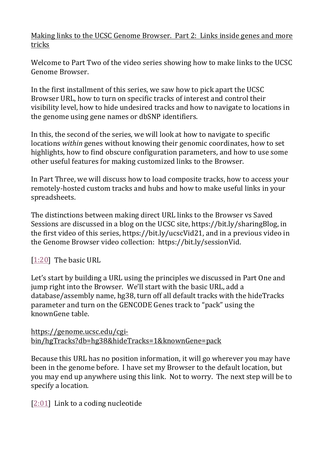Making links to the UCSC Genome Browser. Part 2: Links inside genes and more tricks

Welcome to Part Two of the video series showing how to make links to the UCSC Genome Browser.

In the first installment of this series, we saw how to pick apart the UCSC Browser URL, how to turn on specific tracks of interest and control their visibility level, how to hide undesired tracks and how to navigate to locations in the genome using gene names or dbSNP identifiers.

In this, the second of the series, we will look at how to navigate to specific locations *within* genes without knowing their genomic coordinates, how to set highlights, how to find obscure configuration parameters, and how to use some other useful features for making customized links to the Browser.

In Part Three, we will discuss how to load composite tracks, how to access your remotely-hosted custom tracks and hubs and how to make useful links in your spreadsheets.

The distinctions between making direct URL links to the Browser vs Saved Sessions are discussed in a blog on the UCSC site, https://bit.ly/sharingBlog, in the first video of this series, https://bit.ly/ucscVid21, and in a previous video in the Genome Browser video collection: https://bit.ly/sessionVid.

[\[1:20\]](https://www.youtube.com/watch?v=xmcyz2GyRKA&feature=youtu.be&list=UUQnUJepyNOw0p8s2otX4RYQ&t=80s) The basic URL

Let's start by building a URL using the principles we discussed in Part One and jump right into the Browser. We'll start with the basic URL, add a database/assembly name, hg38, turn off all default tracks with the hideTracks parameter and turn on the GENCODE Genes track to "pack" using the knownGene table.

[https://genome.ucsc.edu/cgi](https://genome.ucsc.edu/cgi-bin/hgTracks?db=hg38&hideTracks=1&knownGene=pack)[bin/hgTracks?db=hg38&hideTracks=1&knownGene=pack](https://genome.ucsc.edu/cgi-bin/hgTracks?db=hg38&hideTracks=1&knownGene=pack)

Because this URL has no position information, it will go wherever you may have been in the genome before. I have set my Browser to the default location, but you may end up anywhere using this link. Not to worry. The next step will be to specify a location.

[\[2:01\]](https://www.youtube.com/watch?v=xmcyz2GyRKA&feature=youtu.be&list=UUQnUJepyNOw0p8s2otX4RYQ&t=121s) Link to a coding nucleotide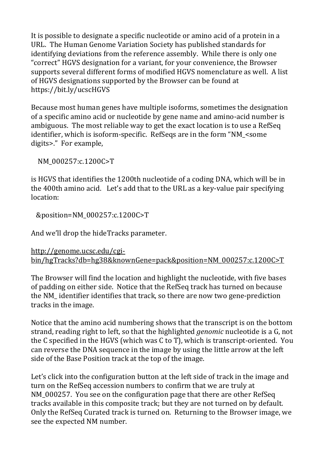It is possible to designate a specific nucleotide or amino acid of a protein in a URL. The Human Genome Variation Society has published standards for identifying deviations from the reference assembly. While there is only one "correct" HGVS designation for a variant, for your convenience, the Browser supports several different forms of modified HGVS nomenclature as well. A list of HGVS designations supported by the Browser can be found at https://bit.ly/ucscHGVS

Because most human genes have multiple isoforms, sometimes the designation of a specific amino acid or nucleotide by gene name and amino-acid number is ambiguous. The most reliable way to get the exact location is to use a RefSeq identifier, which is isoform-specific. RefSeqs are in the form "NM\_<some digits>." For example,

NM\_000257:c.1200C>T

is HGVS that identifies the 1200th nucleotide of a coding DNA, which will be in the 400th amino acid. Let's add that to the URL as a key-value pair specifying location:

&position=NM\_000257:c.1200C>T

And we'll drop the hideTracks parameter.

```
http://genome.ucsc.edu/cgi-
bin/hgTracks?db=hg38&knownGene=pack&position=NM_000257:c.1200C>T
```
The Browser will find the location and highlight the nucleotide, with five bases of padding on either side. Notice that the RefSeq track has turned on because the NM\_ identifier identifies that track, so there are now two gene-prediction tracks in the image.

Notice that the amino acid numbering shows that the transcript is on the bottom strand, reading right to left, so that the highlighted *genomic* nucleotide is a G, not the C specified in the HGVS (which was C to T), which is transcript-oriented. You can reverse the DNA sequence in the image by using the little arrow at the left side of the Base Position track at the top of the image.

Let's click into the configuration button at the left side of track in the image and turn on the RefSeq accession numbers to confirm that we are truly at NM 000257. You see on the configuration page that there are other RefSeq tracks available in this composite track; but they are not turned on by default. Only the RefSeq Curated track is turned on. Returning to the Browser image, we see the expected NM number.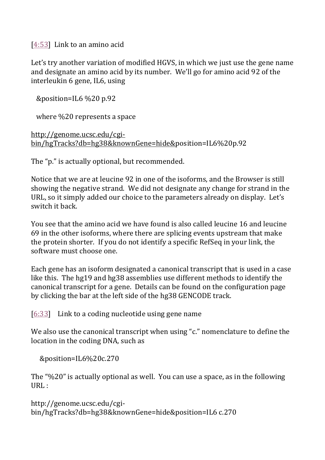[\[4:53\]](https://www.youtube.com/watch?v=xmcyz2GyRKA&feature=youtu.be&list=UUQnUJepyNOw0p8s2otX4RYQ&t=293s) Link to an amino acid

Let's try another variation of modified HGVS, in which we just use the gene name and designate an amino acid by its number. We'll go for amino acid 92 of the interleukin 6 gene, IL6, using

&position=IL6 %20 p.92

where %20 represents a space

[http://genome.ucsc.edu/cgi](http://genome.ucsc.edu/cgi-bin/hgTracks?db=hg38&knownGene=hide&)[bin/hgTracks?db=hg38&knownGene=hide&p](http://genome.ucsc.edu/cgi-bin/hgTracks?db=hg38&knownGene=hide&)osition=IL6%20p.92

The "p." is actually optional, but recommended.

Notice that we are at leucine 92 in one of the isoforms, and the Browser is still showing the negative strand. We did not designate any change for strand in the URL, so it simply added our choice to the parameters already on display. Let's switch it back.

You see that the amino acid we have found is also called leucine 16 and leucine 69 in the other isoforms, where there are splicing events upstream that make the protein shorter. If you do not identify a specific RefSeq in your link, the software must choose one.

Each gene has an isoform designated a canonical transcript that is used in a case like this. The hg19 and hg38 assemblies use different methods to identify the canonical transcript for a gene. Details can be found on the configuration page by clicking the bar at the left side of the hg38 GENCODE track.

[\[6:33\]](https://www.youtube.com/watch?v=xmcyz2GyRKA&feature=youtu.be&list=UUQnUJepyNOw0p8s2otX4RYQ&t=393s) Link to a coding nucleotide using gene name

We also use the canonical transcript when using "c." nomenclature to define the location in the coding DNA, such as

&position=IL6%20c.270

The "%20" is actually optional as well. You can use a space, as in the following URL :

http://genome.ucsc.edu/cgibin/hgTracks?db=hg38&knownGene=hide&position=IL6 c.270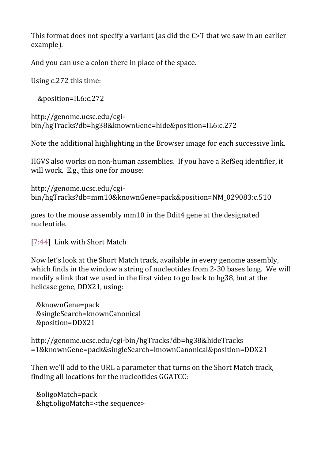This format does not specify a variant (as did the C>T that we saw in an earlier example).

And you can use a colon there in place of the space.

Using c.272 this time:

&position=IL6:c.272

```
http://genome.ucsc.edu/cgi-
bin/hgTracks?db=hg38&knownGene=hide&position=IL6:c.272
```
Note the additional highlighting in the Browser image for each successive link.

HGVS also works on non-human assemblies. If you have a RefSeq identifier, it will work. E.g., this one for mouse:

```
http://genome.ucsc.edu/cgi-
bin/hgTracks?db=mm10&knownGene=pack&position=NM_029083:c.510
```
goes to the mouse assembly mm10 in the Ddit4 gene at the designated nucleotide.

[\[7:44\]](https://www.youtube.com/watch?v=xmcyz2GyRKA&feature=youtu.be&list=UUQnUJepyNOw0p8s2otX4RYQ&t=464s) Link with Short Match

Now let's look at the Short Match track, available in every genome assembly, which finds in the window a string of nucleotides from 2-30 bases long. We will modify a link that we used in the first video to go back to hg38, but at the helicase gene, DDX21, using:

```
 &knownGene=pack
 &singleSearch=knownCanonical
 &position=DDX21
```
http://genome.ucsc.edu/cgi-bin/hgTracks?db=hg38&hideTracks =1&knownGene=pack&singleSearch=knownCanonical&position=DDX21

Then we'll add to the URL a parameter that turns on the Short Match track, finding all locations for the nucleotides GGATCC:

```
 &oligoMatch=pack
 &hgt.oligoMatch=<the sequence>
```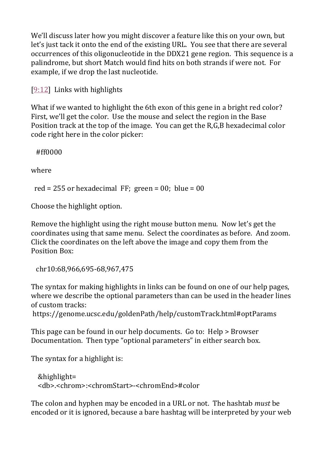We'll discuss later how you might discover a feature like this on your own, but let's just tack it onto the end of the existing URL. You see that there are several occurrences of this oligonucleotide in the DDX21 gene region. This sequence is a palindrome, but short Match would find hits on both strands if were not. For example, if we drop the last nucleotide.

[\[9:12\]](https://www.youtube.com/watch?v=xmcyz2GyRKA&feature=youtu.be&list=UUQnUJepyNOw0p8s2otX4RYQ&t=552s) Links with highlights

What if we wanted to highlight the 6th exon of this gene in a bright red color? First, we'll get the color. Use the mouse and select the region in the Base Position track at the top of the image. You can get the R,G,B hexadecimal color code right here in the color picker:

#ff0000

where

red = 255 or hexadecimal FF; green =  $00$ ; blue =  $00$ 

Choose the highlight option.

Remove the highlight using the right mouse button menu. Now let's get the coordinates using that same menu. Select the coordinates as before. And zoom. Click the coordinates on the left above the image and copy them from the Position Box:

```
 chr10:68,966,695-68,967,475
```
The syntax for making highlights in links can be found on one of our help pages, where we describe the optional parameters than can be used in the header lines of custom tracks:

https://genome.ucsc.edu/goldenPath/help/customTrack.html#optParams

This page can be found in our help documents. Go to: Help > Browser Documentation. Then type "optional parameters" in either search box.

The syntax for a highlight is:

```
 &highlight=
 <db>.<chrom>:<chromStart>-<chromEnd>#color
```
The colon and hyphen may be encoded in a URL or not. The hashtab *must* be encoded or it is ignored, because a bare hashtag will be interpreted by your web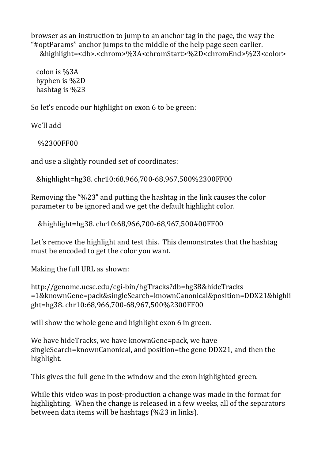browser as an instruction to jump to an anchor tag in the page, the way the "#optParams" anchor jumps to the middle of the help page seen earlier. &highlight=<db>.<chrom>%3A<chromStart>%2D<chromEnd>%23<color>

 colon is %3A hyphen is %2D hashtag is %23

So let's encode our highlight on exon 6 to be green:

We'll add

%2300FF00

and use a slightly rounded set of coordinates:

&highlight=hg38. chr10:68,966,700-68,967,500%2300FF00

Removing the "%23" and putting the hashtag in the link causes the color parameter to be ignored and we get the default highlight color.

&highlight=hg38. chr10:68,966,700-68,967,500#00FF00

Let's remove the highlight and test this. This demonstrates that the hashtag must be encoded to get the color you want.

Making the full URL as shown:

http://genome.ucsc.edu/cgi-bin/hgTracks?db=hg38&hideTracks =1&knownGene=pack&singleSearch=knownCanonical&position=DDX21&highli ght=hg38. chr10:68,966,700-68,967,500%2300FF00

will show the whole gene and highlight exon 6 in green.

We have hideTracks, we have knownGene=pack, we have singleSearch=knownCanonical, and position=the gene DDX21, and then the highlight.

This gives the full gene in the window and the exon highlighted green.

While this video was in post-production a change was made in the format for highlighting. When the change is released in a few weeks, all of the separators between data items will be hashtags (%23 in links).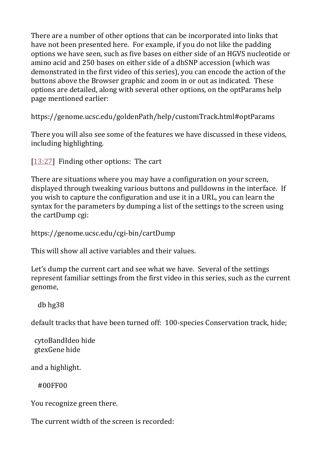There are a number of other options that can be incorporated into links that have not been presented here. For example, if you do not like the padding options we have seen, such as five bases on either side of an HGVS nucleotide or amino acid and 250 bases on either side of a dbSNP accession (which was demonstrated in the first video of this series), you can encode the action of the buttons above the Browser graphic and zoom in or out as indicated. These options are detailed, along with several other options, on the optParams help page mentioned earlier:

https://genome.ucsc.edu/goldenPath/help/customTrack.html#optParams

There you will also see some of the features we have discussed in these videos, including highlighting.

[\[13:27\]](https://www.youtube.com/watch?v=xmcyz2GyRKA&feature=youtu.be&list=UUQnUJepyNOw0p8s2otX4RYQ&t=807s) Finding other options: The cart

There are situations where you may have a configuration on your screen, displayed through tweaking various buttons and pulldowns in the interface. If you wish to capture the configuration and use it in a URL, you can learn the syntax for the parameters by dumping a list of the settings to the screen using the cartDump cgi:

https://genome.ucsc.edu/cgi-bin/cartDump

This will show all active variables and their values.

Let's dump the current cart and see what we have. Several of the settings represent familiar settings from the first video in this series, such as the current genome,

db hg38

default tracks that have been turned off: 100-species Conservation track, hide;

 cytoBandIdeo hide gtexGene hide

and a highlight.

#00FF00

You recognize green there.

The current width of the screen is recorded: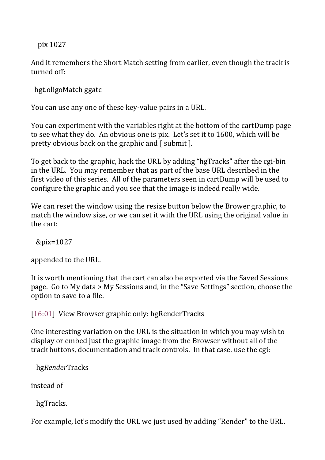pix 1027

And it remembers the Short Match setting from earlier, even though the track is turned off:

hgt.oligoMatch ggatc

You can use any one of these key-value pairs in a URL.

You can experiment with the variables right at the bottom of the cartDump page to see what they do. An obvious one is pix. Let's set it to 1600, which will be pretty obvious back on the graphic and [ submit ].

To get back to the graphic, hack the URL by adding "hgTracks" after the cgi-bin in the URL. You may remember that as part of the base URL described in the first video of this series. All of the parameters seen in cartDump will be used to configure the graphic and you see that the image is indeed really wide.

We can reset the window using the resize button below the Brower graphic, to match the window size, or we can set it with the URL using the original value in the cart:

&pix=1027

appended to the URL.

It is worth mentioning that the cart can also be exported via the Saved Sessions page. Go to My data > My Sessions and, in the "Save Settings" section, choose the option to save to a file.

[\[16:01\]](https://www.youtube.com/watch?v=xmcyz2GyRKA&feature=youtu.be&list=UUQnUJepyNOw0p8s2otX4RYQ&t=961s) View Browser graphic only: hgRenderTracks

One interesting variation on the URL is the situation in which you may wish to display or embed just the graphic image from the Browser without all of the track buttons, documentation and track controls. In that case, use the cgi:

hg*Render*Tracks

instead of

hgTracks.

For example, let's modify the URL we just used by adding "Render" to the URL.